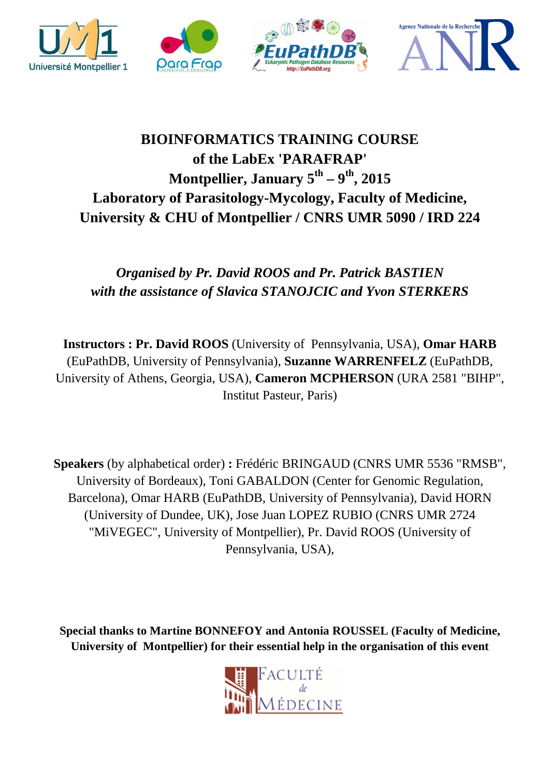

## **BIOINFORMATICS TRAINING COURSE of the LabEx 'PARAFRAP' Montpellier, January 5th – 9th, 2015 Laboratory of Parasitology-Mycology, Faculty of Medicine, University & CHU of Montpellier / CNRS UMR 5090 / IRD 224**

## *Organised by Pr. David ROOS and Pr. Patrick BASTIEN with the assistance of Slavica STANOJCIC and Yvon STERKERS*

**Instructors : Pr. David ROOS** (University of Pennsylvania, USA), **Omar HARB** (EuPathDB, University of Pennsylvania), **Suzanne WARRENFELZ** (EuPathDB, University of Athens, Georgia, USA), **Cameron MCPHERSON** (URA 2581 "BIHP", Institut Pasteur, Paris)

**Speakers** (by alphabetical order) **:** Frédéric BRINGAUD (CNRS UMR 5536 "RMSB", University of Bordeaux), Toni GABALDON (Center for Genomic Regulation, Barcelona), Omar HARB (EuPathDB, University of Pennsylvania), David HORN (University of Dundee, UK), Jose Juan LOPEZ RUBIO (CNRS UMR 2724 "MiVEGEC", University of Montpellier), Pr. David ROOS (University of Pennsylvania, USA),

**Special thanks to Martine BONNEFOY and Antonia ROUSSEL (Faculty of Medicine, University of Montpellier) for their essential help in the organisation of this event** 

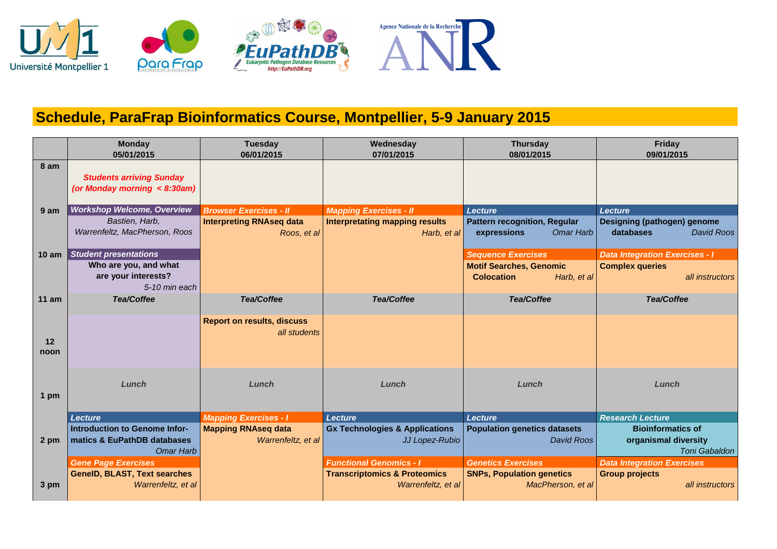

## **Schedule, ParaFrap Bioinformatics Course, Montpellier, 5-9 January 2015**

|                  | <b>Monday</b><br>05/01/2015                                                    | <b>Tuesday</b><br>06/01/2015                      | Wednesday<br>07/01/2015                                       | <b>Thursday</b><br>08/01/2015                                          | Friday<br>09/01/2015                                                     |
|------------------|--------------------------------------------------------------------------------|---------------------------------------------------|---------------------------------------------------------------|------------------------------------------------------------------------|--------------------------------------------------------------------------|
| 8 am             | <b>Students arriving Sunday</b><br>(or Monday morning $\langle 8:30am \rangle$ |                                                   |                                                               |                                                                        |                                                                          |
| 9 am             | <b>Workshop Welcome, Overview</b>                                              | <b>Browser Exercises - II</b>                     | <b>Mapping Exercises - II</b>                                 | <b>Lecture</b>                                                         | <b>Lecture</b>                                                           |
|                  | Bastien, Harb,<br>Warrenfeltz, MacPherson, Roos                                | <b>Interpreting RNAseq data</b><br>Roos, et al    | <b>Interpretating mapping results</b><br>Harb, $et al$        | <b>Pattern recognition, Regular</b><br><b>Omar Harb</b><br>expressions | Designing (pathogen) genome<br><b>David Roos</b><br>databases            |
| 10 <sub>am</sub> | <b>Student presentations</b>                                                   |                                                   |                                                               | <b>Sequence Exercises</b>                                              | <b>Data Integration Exercises - I</b>                                    |
|                  | Who are you, and what                                                          |                                                   |                                                               | <b>Motif Searches, Genomic</b>                                         | <b>Complex queries</b>                                                   |
|                  | are your interests?<br>5-10 min each                                           |                                                   |                                                               | <b>Colocation</b><br>Harb, et al                                       | all instructors                                                          |
| $11$ am          | <b>Tea/Coffee</b>                                                              | <b>Tea/Coffee</b>                                 | <b>Tea/Coffee</b>                                             | <b>Tea/Coffee</b>                                                      | <b>Tea/Coffee</b>                                                        |
| 12<br>noon       |                                                                                | <b>Report on results, discuss</b><br>all students |                                                               |                                                                        |                                                                          |
| 1 pm             | Lunch                                                                          | Lunch                                             | Lunch                                                         | Lunch                                                                  | Lunch                                                                    |
|                  | <b>Lecture</b>                                                                 | <b>Mapping Exercises - I</b>                      | <b>Lecture</b>                                                | <b>Lecture</b>                                                         | <b>Research Lecture</b>                                                  |
| 2 pm             | Introduction to Genome Infor-<br>matics & EuPathDB databases<br>Omar Harb      | <b>Mapping RNAseq data</b><br>Warrenfeltz, et al  | <b>Gx Technologies &amp; Applications</b><br>JJ Lopez-Rubio   | <b>Population genetics datasets</b><br><b>David Roos</b>               | <b>Bioinformatics of</b><br>organismal diversity<br><b>Toni Gabaldon</b> |
|                  | <b>Gene Page Exercises</b>                                                     |                                                   | <b>Functional Genomics - I</b>                                | <b>Genetics Exercises</b>                                              | <b>Data Integration Exercises</b>                                        |
| 3 pm             | <b>GeneID, BLAST, Text searches</b><br>Warrenfeltz, et al                      |                                                   | <b>Transcriptomics &amp; Proteomics</b><br>Warrenfeltz, et al | <b>SNPs, Population genetics</b><br>MacPherson, et al                  | <b>Group projects</b><br>all instructors                                 |